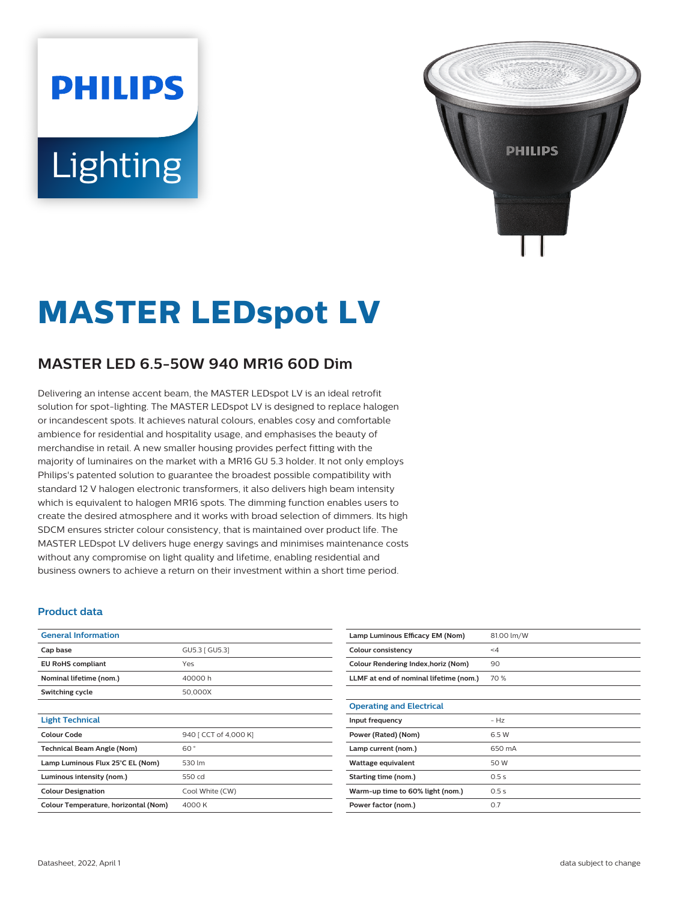# **PHILIPS** Lighting



## **MASTER LEDspot LV**

### **MASTER LED 6.5-50W 940 MR16 60D Dim**

Delivering an intense accent beam, the MASTER LEDspot LV is an ideal retrofit solution for spot-lighting. The MASTER LEDspot LV is designed to replace halogen or incandescent spots. It achieves natural colours, enables cosy and comfortable ambience for residential and hospitality usage, and emphasises the beauty of merchandise in retail. A new smaller housing provides perfect fitting with the majority of luminaires on the market with a MR16 GU 5.3 holder. It not only employs Philips's patented solution to guarantee the broadest possible compatibility with standard 12 V halogen electronic transformers, it also delivers high beam intensity which is equivalent to halogen MR16 spots. The dimming function enables users to create the desired atmosphere and it works with broad selection of dimmers. Its high SDCM ensures stricter colour consistency, that is maintained over product life. The MASTER LEDspot LV delivers huge energy savings and minimises maintenance costs without any compromise on light quality and lifetime, enabling residential and business owners to achieve a return on their investment within a short time period.

#### **Product data**

| <b>General Information</b>                 |                 |  |
|--------------------------------------------|-----------------|--|
| Cap base                                   | GU5.3 [ GU5.3]  |  |
| <b>EU RoHS compliant</b>                   | Yes             |  |
| Nominal lifetime (nom.)                    | 40000h          |  |
| Switching cycle                            | 50,000X         |  |
|                                            |                 |  |
| <b>Light Technical</b>                     |                 |  |
| Colour Code<br>940 [ CCT of 4,000 K]       |                 |  |
| <b>Technical Beam Angle (Nom)</b>          | 60°             |  |
| 530 lm<br>Lamp Luminous Flux 25°C EL (Nom) |                 |  |
| Luminous intensity (nom.)                  | 550 cd          |  |
| <b>Colour Designation</b>                  | Cool White (CW) |  |
| Colour Temperature, horizontal (Nom)       | 4000 K          |  |

| Lamp Luminous Efficacy EM (Nom)        | 81.00 lm/W |
|----------------------------------------|------------|
| Colour consistency                     | $\leq 4$   |
| Colour Rendering Index, horiz (Nom)    | 90         |
| LLMF at end of nominal lifetime (nom.) | 70 %       |
|                                        |            |
| <b>Operating and Electrical</b>        |            |
| Input frequency                        | $- Hz$     |
| Power (Rated) (Nom)                    | 6.5 W      |
| Lamp current (nom.)                    | 650 mA     |
| Wattage equivalent                     | 50 W       |
| Starting time (nom.)                   | 0.5s       |
| Warm-up time to 60% light (nom.)       | 0.5s       |
| Power factor (nom.)                    | 0.7        |
|                                        |            |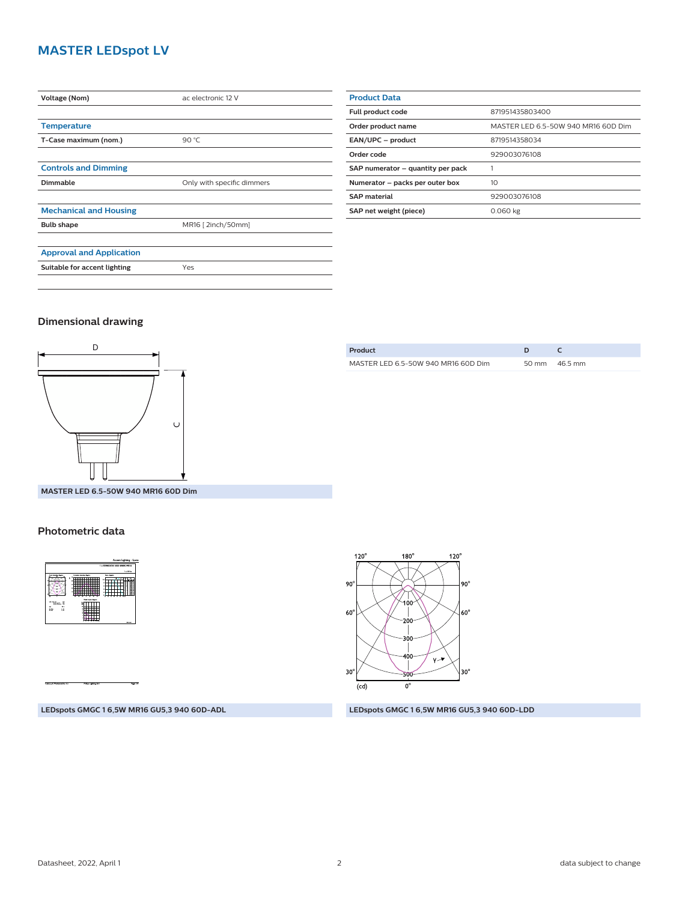#### **MASTER LEDspot LV**

| <b>Voltage (Nom)</b>            | ac electronic 12 V         |  |
|---------------------------------|----------------------------|--|
|                                 |                            |  |
| <b>Temperature</b>              |                            |  |
| T-Case maximum (nom.)           | 90 °C                      |  |
|                                 |                            |  |
| <b>Controls and Dimming</b>     |                            |  |
| Dimmable                        | Only with specific dimmers |  |
|                                 |                            |  |
| <b>Mechanical and Housing</b>   |                            |  |
| <b>Bulb shape</b>               | MR16 [ 2inch/50mm]         |  |
|                                 |                            |  |
| <b>Approval and Application</b> |                            |  |
| Suitable for accent lighting    | Yes                        |  |
|                                 |                            |  |

| <b>Product Data</b>               |                                     |  |  |
|-----------------------------------|-------------------------------------|--|--|
| Full product code                 | 871951435803400                     |  |  |
| Order product name                | MASTER LED 6.5-50W 940 MR16 60D Dim |  |  |
| EAN/UPC - product                 | 8719514358034                       |  |  |
| Order code                        | 929003076108                        |  |  |
| SAP numerator - quantity per pack |                                     |  |  |
| Numerator - packs per outer box   | 10                                  |  |  |
| <b>SAP material</b>               | 929003076108                        |  |  |
| SAP net weight (piece)            | 0.060 kg                            |  |  |

#### **Dimensional drawing**



| Product                             |                         |
|-------------------------------------|-------------------------|
| MASTER LED 6.5-50W 940 MR16 60D Dim | $50 \text{ mm}$ 46.5 mm |
|                                     |                         |

**MASTER LED 6.5-50W 940 MR16 60D Dim**

#### **Photometric data**





#### **LEDspots GMGC 1 6,5W MR16 GU5,3 940 60D-ADL LEDspots GMGC 1 6,5W MR16 GU5,3 940 60D-LDD**